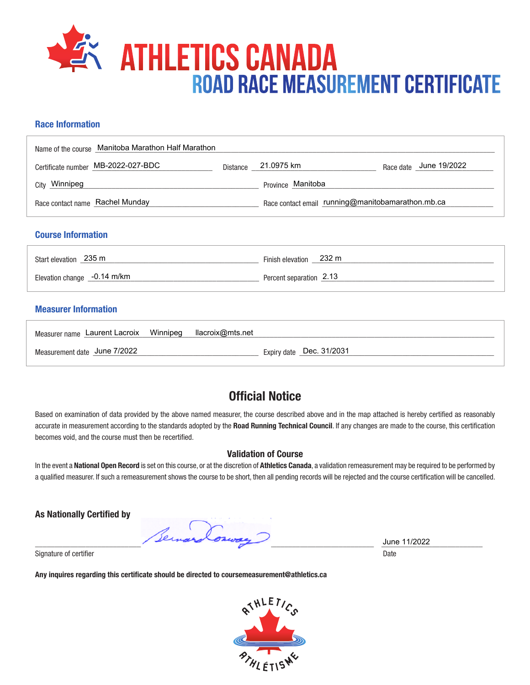

## **Race Information**

| Name of the course Manitoba Marathon Half Marathon |          |                                                   |                        |  |
|----------------------------------------------------|----------|---------------------------------------------------|------------------------|--|
| Certificate number MB-2022-027-BDC                 | Distance | 21.0975 km                                        | Race date June 19/2022 |  |
| <sub>City</sub> Winnipeg                           |          | Province Manitoba                                 |                        |  |
| Race contact name Rachel Munday                    |          | Race contact email running@manitobamarathon.mb.ca |                        |  |

#### **Course Information**

| Start elevation 235 m       | Finish elevation 232 m  |
|-----------------------------|-------------------------|
| Elevation change -0.14 m/km | Percent separation 2.13 |

### **Measurer Information**

| Measurer name Laurent Lacroix Winnipeg Ilacroix@mts.net |  |                          |
|---------------------------------------------------------|--|--------------------------|
| Measurement date June 7/2022                            |  | Expiry date Dec. 31/2031 |

# **Official Notice**

Based on examination of data provided by the above named measurer, the course described above and in the map attached is hereby certified as reasonably accurate in measurement according to the standards adopted by the **Road Running Technical Council**. If any changes are made to the course, this certification becomes void, and the course must then be recertified.

#### **Validation of Course**

In the event a **National Open Record** is set on this course, or at the discretion of **Athletics Canada**, a validation remeasurement may be required to be performed by a qualified measurer. If such a remeasurement shows the course to be short, then all pending records will be rejected and the course certification will be cancelled.

**As Nationally Certified by**

 $\frac{3 \text{ line } 11/2022}{\text{ line } 11/2022}$ 

Signature of certifier Date Date of Certifier and Contract of Certifier and Date Date of Certifier and Date Date of Certifier and Date of Certifier and Date of Certifier and Date of Certifier and Date of Certifier and Date

**Any inquires regarding this certificate should be directed to coursemeasurement@athletics.ca**



June 11/2022